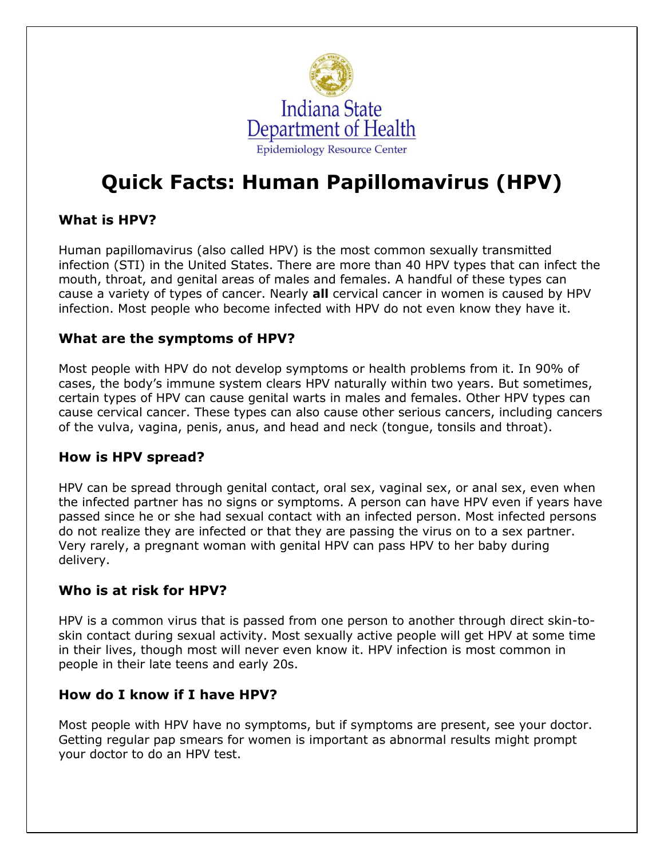

# **Quick Facts: Human Papillomavirus (HPV)**

## **What is HPV?**

Human papillomavirus (also called HPV) is the most common sexually transmitted infection (STI) in the United States. There are more than 40 HPV types that can infect the mouth, throat, and genital areas of males and females. A handful of these types can cause a variety of types of cancer. Nearly **all** cervical cancer in women is caused by HPV infection. Most people who become infected with HPV do not even know they have it.

## **What are the symptoms of HPV?**

Most people with HPV do not develop symptoms or health problems from it. In 90% of cases, the body's immune system clears HPV naturally within two years. But sometimes, certain types of HPV can cause genital warts in males and females. Other HPV types can cause cervical cancer. These types can also cause other serious cancers, including cancers of the vulva, vagina, penis, anus, and head and neck (tongue, tonsils and throat).

#### **How is HPV spread?**

HPV can be spread through genital contact, oral sex, vaginal sex, or anal sex, even when the infected partner has no signs or symptoms. A person can have HPV even if years have passed since he or she had sexual contact with an infected person. Most infected persons do not realize they are infected or that they are passing the virus on to a sex partner. Very rarely, a pregnant woman with genital HPV can pass HPV to her baby during delivery.

## **Who is at risk for HPV?**

HPV is a common virus that is passed from one person to another through direct skin-toskin contact during sexual activity. Most sexually active people will get HPV at some time in their lives, though most will never even know it. HPV infection is most common in people in their late teens and early 20s.

#### **How do I know if I have HPV?**

Most people with HPV have no symptoms, but if symptoms are present, see your doctor. Getting regular pap smears for women is important as abnormal results might prompt your doctor to do an HPV test.